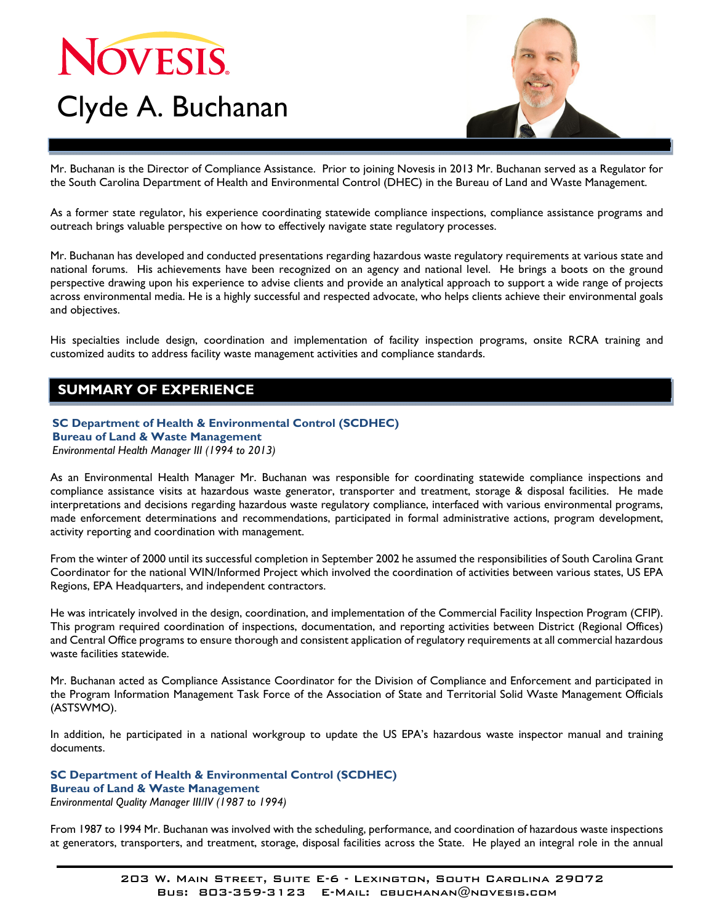# NOVESIS. Clyde A. Buchanan



Mr. Buchanan is the Director of Compliance Assistance. Prior to joining Novesis in 2013 Mr. Buchanan served as a Regulator for the South Carolina Department of Health and Environmental Control (DHEC) in the Bureau of Land and Waste Management.

As a former state regulator, his experience coordinating statewide compliance inspections, compliance assistance programs and outreach brings valuable perspective on how to effectively navigate state regulatory processes.

Mr. Buchanan has developed and conducted presentations regarding hazardous waste regulatory requirements at various state and national forums. His achievements have been recognized on an agency and national level. He brings a boots on the ground perspective drawing upon his experience to advise clients and provide an analytical approach to support a wide range of projects across environmental media. He is a highly successful and respected advocate, who helps clients achieve their environmental goals and objectives.

His specialties include design, coordination and implementation of facility inspection programs, onsite RCRA training and customized audits to address facility waste management activities and compliance standards.

## **SUMMARY OF EXPERIENCE**

### **SC Department of Health & Environmental Control (SCDHEC) Bureau of Land & Waste Management**

*Environmental Health Manager III (1994 to 2013)* 

As an Environmental Health Manager Mr. Buchanan was responsible for coordinating statewide compliance inspections and compliance assistance visits at hazardous waste generator, transporter and treatment, storage & disposal facilities. He made interpretations and decisions regarding hazardous waste regulatory compliance, interfaced with various environmental programs, made enforcement determinations and recommendations, participated in formal administrative actions, program development, activity reporting and coordination with management.

From the winter of 2000 until its successful completion in September 2002 he assumed the responsibilities of South Carolina Grant Coordinator for the national WIN/Informed Project which involved the coordination of activities between various states, US EPA Regions, EPA Headquarters, and independent contractors.

He was intricately involved in the design, coordination, and implementation of the Commercial Facility Inspection Program (CFIP). This program required coordination of inspections, documentation, and reporting activities between District (Regional Offices) and Central Office programs to ensure thorough and consistent application of regulatory requirements at all commercial hazardous waste facilities statewide.

Mr. Buchanan acted as Compliance Assistance Coordinator for the Division of Compliance and Enforcement and participated in the Program Information Management Task Force of the Association of State and Territorial Solid Waste Management Officials (ASTSWMO).

In addition, he participated in a national workgroup to update the US EPA's hazardous waste inspector manual and training documents.

**SC Department of Health & Environmental Control (SCDHEC) Bureau of Land & Waste Management**  *Environmental Quality Manager III/IV (1987 to 1994)* 

From 1987 to 1994 Mr. Buchanan was involved with the scheduling, performance, and coordination of hazardous waste inspections at generators, transporters, and treatment, storage, disposal facilities across the State. He played an integral role in the annual